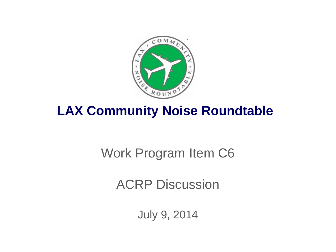

## **LAX Community Noise Roundtable**

# Work Program Item C6

ACRP Discussion

July 9, 2014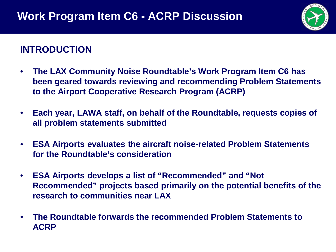

#### **INTRODUCTION**

- **The LAX Community Noise Roundtable's Work Program Item C6 has been geared towards reviewing and recommending Problem Statements to the Airport Cooperative Research Program (ACRP)**
- **Each year, LAWA staff, on behalf of the Roundtable, requests copies of all problem statements submitted**
- **ESA Airports evaluates the aircraft noise-related Problem Statements for the Roundtable's consideration**
- **ESA Airports develops a list of "Recommended" and "Not Recommended" projects based primarily on the potential benefits of the research to communities near LAX**
- **The Roundtable forwards the recommended Problem Statements to ACRP**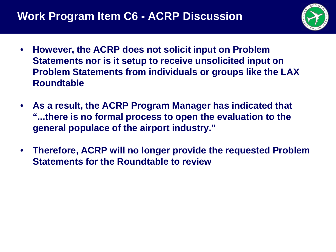

- **However, the ACRP does not solicit input on Problem Statements nor is it setup to receive unsolicited input on Problem Statements from individuals or groups like the LAX Roundtable**
- **As a result, the ACRP Program Manager has indicated that "...there is no formal process to open the evaluation to the general populace of the airport industry."**
- **Therefore, ACRP will no longer provide the requested Problem Statements for the Roundtable to review**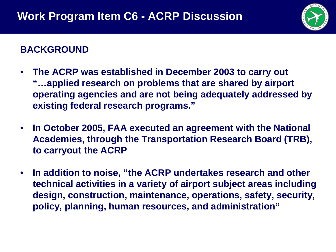

## **BACKGROUND**

- **The ACRP was established in December 2003 to carry out "…applied research on problems that are shared by airport operating agencies and are not being adequately addressed by existing federal research programs."**
- **In October 2005, FAA executed an agreement with the National Academies, through the Transportation Research Board (TRB), to carryout the ACRP**
- **In addition to noise, "the ACRP undertakes research and other technical activities in a variety of airport subject areas including design, construction, maintenance, operations, safety, security, policy, planning, human resources, and administration"**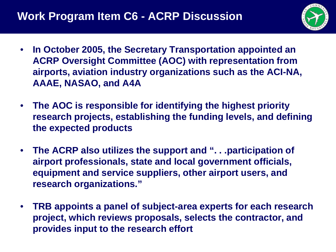

- **In October 2005, the Secretary Transportation appointed an ACRP Oversight Committee (AOC) with representation from airports, aviation industry organizations such as the ACI-NA, AAAE, NASAO, and A4A**
- **The AOC is responsible for identifying the highest priority research projects, establishing the funding levels, and defining the expected products**
- **The ACRP also utilizes the support and ". . .participation of airport professionals, state and local government officials, equipment and service suppliers, other airport users, and research organizations."**
- **TRB appoints a panel of subject-area experts for each research project, which reviews proposals, selects the contractor, and provides input to the research effort**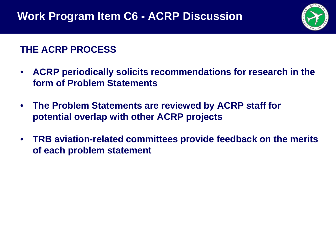

## **THE ACRP PROCESS**

- **ACRP periodically solicits recommendations for research in the form of Problem Statements**
- **The Problem Statements are reviewed by ACRP staff for potential overlap with other ACRP projects**
- **TRB aviation-related committees provide feedback on the merits of each problem statement**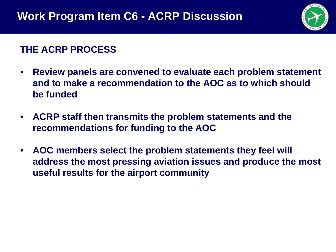

#### **THE ACRP PROCESS**

- **Review panels are convened to evaluate each problem statement and to make a recommendation to the AOC as to which should be funded**
- **ACRP staff then transmits the problem statements and the recommendations for funding to the AOC**
- **AOC members select the problem statements they feel will address the most pressing aviation issues and produce the most useful results for the airport community**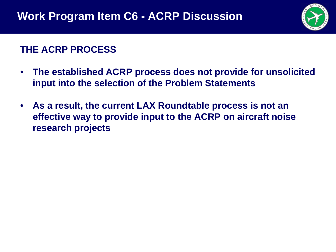

### **THE ACRP PROCESS**

- **The established ACRP process does not provide for unsolicited input into the selection of the Problem Statements**
- **As a result, the current LAX Roundtable process is not an effective way to provide input to the ACRP on aircraft noise research projects**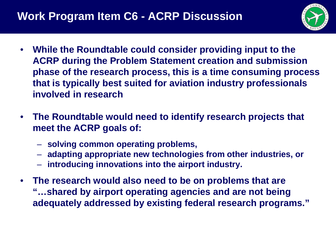

- **While the Roundtable could consider providing input to the ACRP during the Problem Statement creation and submission phase of the research process, this is a time consuming process that is typically best suited for aviation industry professionals involved in research**
- **The Roundtable would need to identify research projects that meet the ACRP goals of:**
	- **solving common operating problems,**
	- **adapting appropriate new technologies from other industries, or**
	- **introducing innovations into the airport industry.**
- **The research would also need to be on problems that are "…shared by airport operating agencies and are not being adequately addressed by existing federal research programs."**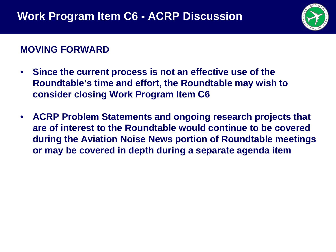

#### **MOVING FORWARD**

- **Since the current process is not an effective use of the Roundtable's time and effort, the Roundtable may wish to consider closing Work Program Item C6**
- **ACRP Problem Statements and ongoing research projects that are of interest to the Roundtable would continue to be covered during the Aviation Noise News portion of Roundtable meetings or may be covered in depth during a separate agenda item**